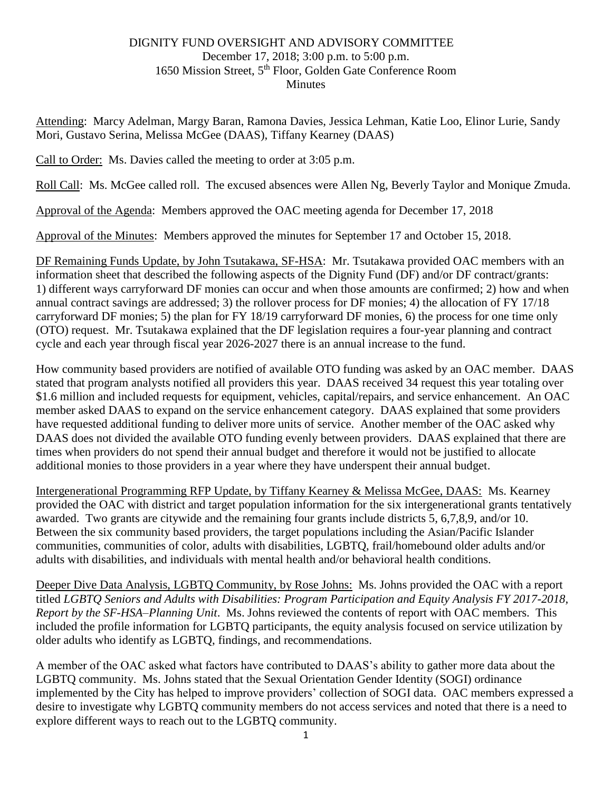## DIGNITY FUND OVERSIGHT AND ADVISORY COMMITTEE December 17, 2018; 3:00 p.m. to 5:00 p.m. 1650 Mission Street, 5<sup>th</sup> Floor, Golden Gate Conference Room **Minutes**

Attending: Marcy Adelman, Margy Baran, Ramona Davies, Jessica Lehman, Katie Loo, Elinor Lurie, Sandy Mori, Gustavo Serina, Melissa McGee (DAAS), Tiffany Kearney (DAAS)

Call to Order: Ms. Davies called the meeting to order at 3:05 p.m.

Roll Call: Ms. McGee called roll. The excused absences were Allen Ng, Beverly Taylor and Monique Zmuda.

Approval of the Agenda: Members approved the OAC meeting agenda for December 17, 2018

Approval of the Minutes: Members approved the minutes for September 17 and October 15, 2018.

DF Remaining Funds Update, by John Tsutakawa, SF-HSA: Mr. Tsutakawa provided OAC members with an information sheet that described the following aspects of the Dignity Fund (DF) and/or DF contract/grants: 1) different ways carryforward DF monies can occur and when those amounts are confirmed; 2) how and when annual contract savings are addressed; 3) the rollover process for DF monies; 4) the allocation of FY 17/18 carryforward DF monies; 5) the plan for FY 18/19 carryforward DF monies, 6) the process for one time only (OTO) request. Mr. Tsutakawa explained that the DF legislation requires a four-year planning and contract cycle and each year through fiscal year 2026-2027 there is an annual increase to the fund.

How community based providers are notified of available OTO funding was asked by an OAC member. DAAS stated that program analysts notified all providers this year. DAAS received 34 request this year totaling over \$1.6 million and included requests for equipment, vehicles, capital/repairs, and service enhancement. An OAC member asked DAAS to expand on the service enhancement category. DAAS explained that some providers have requested additional funding to deliver more units of service. Another member of the OAC asked why DAAS does not divided the available OTO funding evenly between providers. DAAS explained that there are times when providers do not spend their annual budget and therefore it would not be justified to allocate additional monies to those providers in a year where they have underspent their annual budget.

Intergenerational Programming RFP Update, by Tiffany Kearney & Melissa McGee, DAAS: Ms. Kearney provided the OAC with district and target population information for the six intergenerational grants tentatively awarded. Two grants are citywide and the remaining four grants include districts 5, 6,7,8,9, and/or 10. Between the six community based providers, the target populations including the Asian/Pacific Islander communities, communities of color, adults with disabilities, LGBTQ, frail/homebound older adults and/or adults with disabilities, and individuals with mental health and/or behavioral health conditions.

Deeper Dive Data Analysis, LGBTQ Community, by Rose Johns: Ms. Johns provided the OAC with a report titled *LGBTQ Seniors and Adults with Disabilities: Program Participation and Equity Analysis FY 2017-2018, Report by the SF-HSA–Planning Unit*. Ms. Johns reviewed the contents of report with OAC members. This included the profile information for LGBTQ participants, the equity analysis focused on service utilization by older adults who identify as LGBTQ, findings, and recommendations.

A member of the OAC asked what factors have contributed to DAAS's ability to gather more data about the LGBTQ community. Ms. Johns stated that the Sexual Orientation Gender Identity (SOGI) ordinance implemented by the City has helped to improve providers' collection of SOGI data. OAC members expressed a desire to investigate why LGBTQ community members do not access services and noted that there is a need to explore different ways to reach out to the LGBTQ community.